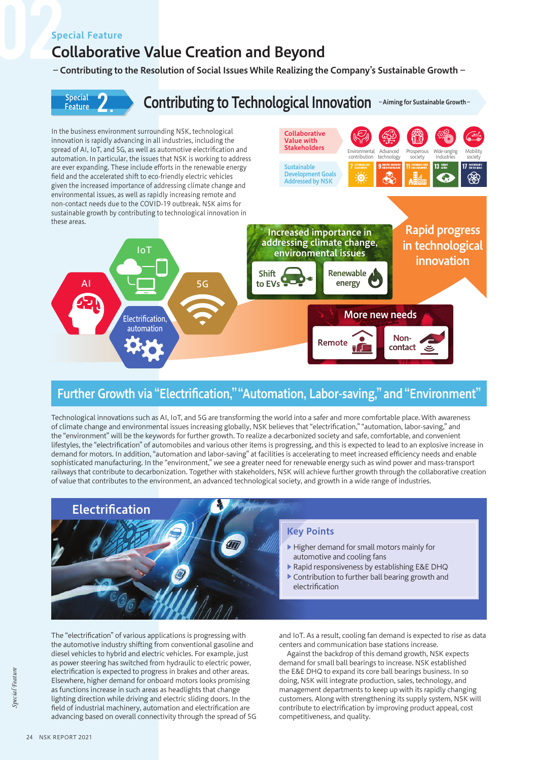## Special Feature

# Collaborative Value Creation and Beyond

### −Contributing to the Resolution of Social Issues While Realizing the Company's Sustainable Growth−



# Further Growth via "Electrification," "Automation, Labor-saving," and "Environment"

Technological innovations such as AI, IoT, and 5G are transforming the world into a safer and more comfortable place. With awareness of climate change and environmental issues increasing globally, NSK believes that "electrification," "automation, labor-saving," and the "environment" will be the keywords for further growth. To realize a decarbonized society and safe, comfortable, and convenient lifestyles, the "electrification" of automobiles and various other items is progressing, and this is expected to lead to an explosive increase in demand for motors. In addition, "automation and labor-saving" at facilities is accelerating to meet increased efficiency needs and enable sophisticated manufacturing. In the "environment," we see a greater need for renewable energy such as wind power and mass-transport railways that contribute to decarbonization. Together with stakeholders, NSK will achieve further growth through the collaborative creation of value that contributes to the environment, an advanced technological society, and growth in a wide range of industries.



The "electrification" of various applications is progressing with the automotive industry shifting from conventional gasoline and diesel vehicles to hybrid and electric vehicles. For example, just as power steering has switched from hydraulic to electric power, electrification is expected to progress in brakes and other areas. Elsewhere, higher demand for onboard motors looks promising as functions increase in such areas as headlights that change lighting direction while driving and electric sliding doors. In the field of industrial machinery, automation and electrification are advancing based on overall connectivity through the spread of 5G

and IoT. As a result, cooling fan demand is expected to rise as data centers and communication base stations increase.

Against the backdrop of this demand growth, NSK expects demand for small ball bearings to increase. NSK established the E&E DHQ to expand its core ball bearings business. In so doing, NSK will integrate production, sales, technology, and management departments to keep up with its rapidly changing customers. Along with strengthening its supply system, NSK will contribute to electrification by improving product appeal, cost competitiveness, and quality.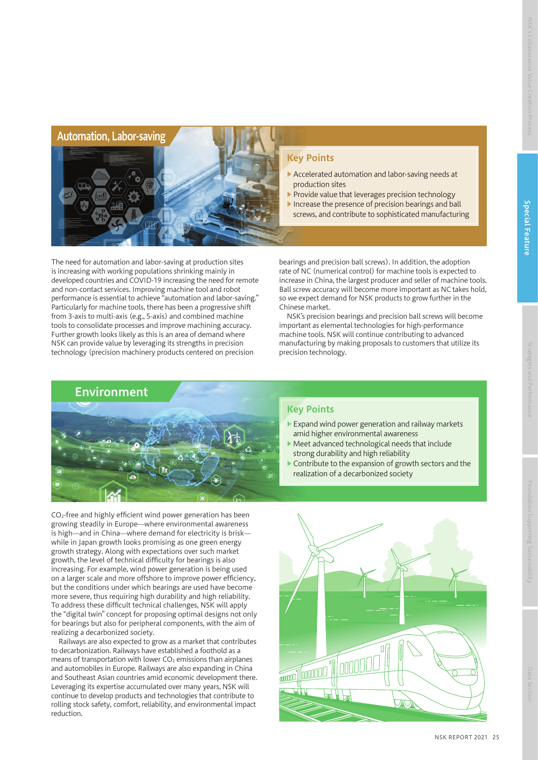

The need for automation and labor-saving at production sites is increasing with working populations shrinking mainly in developed countries and COVID-19 increasing the need for remote and non-contact services. Improving machine tool and robot performance is essential to achieve "automation and labor-saving." Particularly for machine tools, there has been a progressive shift from 3-axis to multi-axis (e.g., 5-axis) and combined machine tools to consolidate processes and improve machining accuracy. Further growth looks likely as this is an area of demand where NSK can provide value by leveraging its strengths in precision technology (precision machinery products centered on precision

## Key Points

- ▶ Accelerated automation and labor-saving needs at production sites
- ▶ Provide value that leverages precision technology
- ▶ Increase the presence of precision bearings and ball screws, and contribute to sophisticated manufacturing

bearings and precision ball screws). In addition, the adoption rate of NC (numerical control) for machine tools is expected to increase in China, the largest producer and seller of machine tools. Ball screw accuracy will become more important as NC takes hold, so we expect demand for NSK products to grow further in the Chinese market.

NSK's precision bearings and precision ball screws will become important as elemental technologies for high-performance machine tools. NSK will continue contributing to advanced manufacturing by making proposals to customers that utilize its precision technology.



Key Points

- ▶ Expand wind power generation and railway markets amid higher environmental awareness
- ▶ Meet advanced technological needs that include strong durability and high reliability
- Contribute to the expansion of growth sectors and the realization of a decarbonized society

CO2-free and highly efficient wind power generation has been growing steadily in Europe—where environmental awareness is high—and in China—where demand for electricity is brisk while in Japan growth looks promising as one green energy growth strategy. Along with expectations over such market growth, the level of technical difficulty for bearings is also increasing. For example, wind power generation is being used on a larger scale and more offshore to improve power efficiency, but the conditions under which bearings are used have become more severe, thus requiring high durability and high reliability. To address these difficult technical challenges, NSK will apply the "digital twin" concept for proposing optimal designs not only for bearings but also for peripheral components, with the aim of realizing a decarbonized society.

Railways are also expected to grow as a market that contributes to decarbonization. Railways have established a foothold as a means of transportation with lower  $CO<sub>2</sub>$  emissions than airplanes and automobiles in Europe. Railways are also expanding in China and Southeast Asian countries amid economic development there. Leveraging its expertise accumulated over many years, NSK will continue to develop products and technologies that contribute to rolling stock safety, comfort, reliability, and environmental impact reduction.

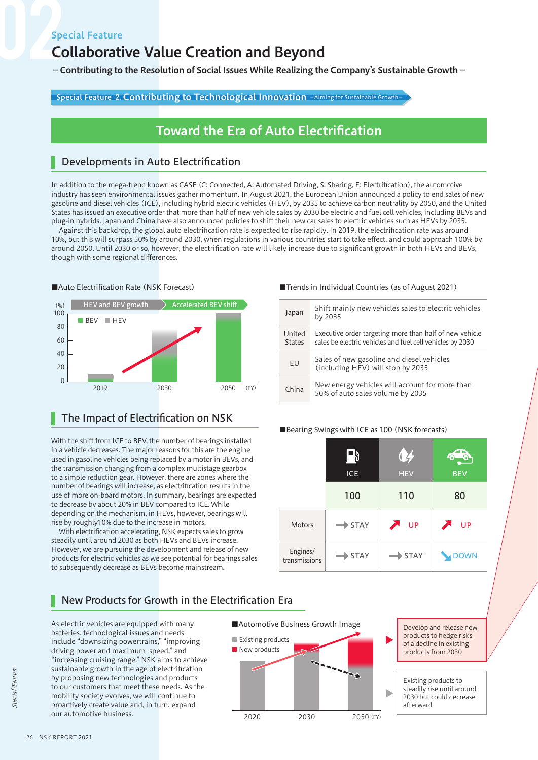# Collaborative Value Creation and Beyond

−Contributing to the Resolution of Social Issues While Realizing the Company's Sustainable Growth−

Special Feature 2. Contributing to Technological Innovation −Aiming for Sustainable Growth-

# Toward the Era of Auto Electrification

# Developments in Auto Electrification

In addition to the mega-trend known as CASE (C: Connected, A: Automated Driving, S: Sharing, E: Electrification), the automotive industry has seen environmental issues gather momentum. In August 2021, the European Union announced a policy to end sales of new gasoline and diesel vehicles (ICE), including hybrid electric vehicles (HEV), by 2035 to achieve carbon neutrality by 2050, and the United States has issued an executive order that more than half of new vehicle sales by 2030 be electric and fuel cell vehicles, including BEVs and plug-in hybrids. Japan and China have also announced policies to shift their new car sales to electric vehicles such as HEVs by 2035.

Against this backdrop, the global auto electrification rate is expected to rise rapidly. In 2019, the electrification rate was around 10%, but this will surpass 50% by around 2030, when regulations in various countries start to take effect, and could approach 100% by around 2050. Until 2030 or so, however, the electrification rate will likely increase due to significant growth in both HEVs and BEVs, though with some regional differences.



## The Impact of Electrification on NSK

With the shift from ICE to BEV, the number of bearings installed in a vehicle decreases. The major reasons for this are the engine used in gasoline vehicles being replaced by a motor in BEVs, and the transmission changing from a complex multistage gearbox to a simple reduction gear. However, there are zones where the number of bearings will increase, as electrification results in the use of more on-board motors. In summary, bearings are expected to decrease by about 20% in BEV compared to ICE. While depending on the mechanism, in HEVs, however, bearings will rise by roughly10% due to the increase in motors.

With electrification accelerating, NSK expects sales to grow steadily until around 2030 as both HEVs and BEVs increase. However, we are pursuing the development and release of new products for electric vehicles as we see potential for bearings sales to subsequently decrease as BEVs become mainstream.

#### ■Auto Electrification Rate (NSK Forecast) ■Trends in Individual Countries (as of August 2021)

| Japan                   | Shift mainly new vehicles sales to electric vehicles<br>by 2035                                                      |
|-------------------------|----------------------------------------------------------------------------------------------------------------------|
| United<br><b>States</b> | Executive order targeting more than half of new vehicle<br>sales be electric vehicles and fuel cell vehicles by 2030 |
| <b>FU</b>               | Sales of new gasoline and diesel vehicles<br>(including HEV) will stop by 2035                                       |
| China                   | New energy vehicles will account for more than<br>50% of auto sales volume by 2035                                   |

#### ■Bearing Swings with ICE as 100 (NSK forecasts)

|                           | -19<br>ICE         | $\mathbf{Q}$<br><b>HEV</b>  | L 6<br>0<br><b>BEV</b> |
|---------------------------|--------------------|-----------------------------|------------------------|
|                           | 100                | 110                         | 80                     |
| <b>Motors</b>             | $\Rightarrow$ STAY | $\blacktriangleright$<br>UP | <b>UP</b><br>◢         |
| Engines/<br>transmissions | <b>STAY</b>        | STAY                        | DOWN                   |

# New Products for Growth in the Electrification Era

As electric vehicles are equipped with many batteries, technological issues and needs include "downsizing powertrains," "improving driving power and maximum speed," and "increasing cruising range." NSK aims to achieve sustainable growth in the age of electrification by proposing new technologies and products to our customers that meet these needs. As the mobility society evolves, we will continue to proactively create value and, in turn, expand our automotive business.<br>2020 2030



of a decline in existing products from 2030

> Existing products to steadily rise until around 2030 but could decrease afterward